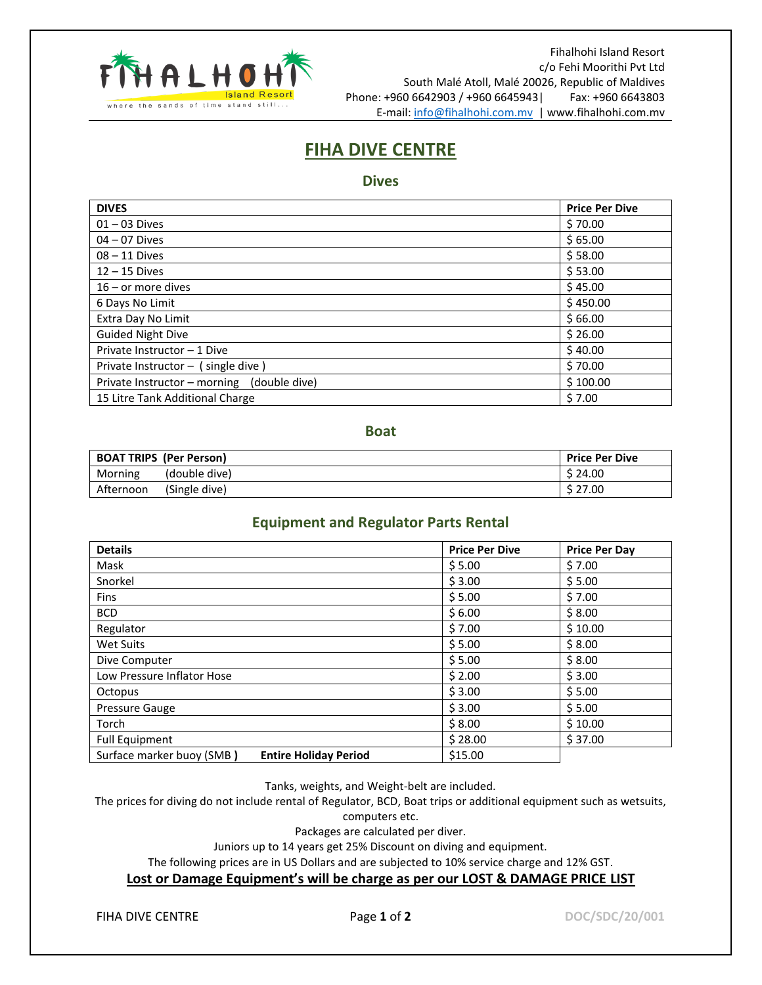

Fihalhohi Island Resort c/o Fehi Moorithi Pvt Ltd South Malé Atoll, Malé 20026, Republic of Maldives Phone: +960 6642903 / +960 6645943| Fax: +960 6643803 E-mail: [info@fihalhohi.com.mv](mailto:info@fihalhohi.com.mv) | www.fihalhohi.com.mv

# **FIHA DIVE CENTRE**

### **Dives**

| <b>DIVES</b>                               | <b>Price Per Dive</b> |
|--------------------------------------------|-----------------------|
| $01 - 03$ Dives                            | \$70.00               |
| $04 - 07$ Dives                            | \$65.00               |
| $08 - 11$ Dives                            | \$58.00               |
| $12 - 15$ Dives                            | \$53.00               |
| $16$ – or more dives                       | \$45.00               |
| 6 Days No Limit                            | \$450.00              |
| Extra Day No Limit                         | \$66.00               |
| <b>Guided Night Dive</b>                   | \$26.00               |
| Private Instructor - 1 Dive                | \$40.00               |
| Private Instructor $-$ (single dive)       | \$70.00               |
| Private Instructor - morning (double dive) | \$100.00              |
| 15 Litre Tank Additional Charge            | \$7.00                |

### **Boat**

|           | <b>BOAT TRIPS (Per Person)</b> | <b>Price Per Dive</b> |
|-----------|--------------------------------|-----------------------|
| Morning   | (double dive)                  | \$24.00               |
| Afternoon | (Single dive)                  | \$27.00               |

## **Equipment and Regulator Parts Rental**

| <b>Details</b>                                            | <b>Price Per Dive</b> | <b>Price Per Day</b> |
|-----------------------------------------------------------|-----------------------|----------------------|
| Mask                                                      | \$5.00                | \$7.00               |
| Snorkel                                                   | \$3.00                | \$5.00               |
| <b>Fins</b>                                               | \$5.00                | \$7.00               |
| <b>BCD</b>                                                | \$6.00                | \$8.00               |
| Regulator                                                 | \$7.00                | \$10.00              |
| Wet Suits                                                 | \$5.00                | \$8.00               |
| Dive Computer                                             | \$5.00                | \$8.00               |
| Low Pressure Inflator Hose                                | \$2.00                | \$3.00               |
| Octopus                                                   | \$3.00                | \$5.00               |
| Pressure Gauge                                            | \$3.00                | \$5.00               |
| Torch                                                     | \$8.00                | \$10.00              |
| <b>Full Equipment</b>                                     | \$28.00               | \$37.00              |
| Surface marker buoy (SMB)<br><b>Entire Holiday Period</b> | \$15.00               |                      |

Tanks, weights, and Weight-belt are included.

The prices for diving do not include rental of Regulator, BCD, Boat trips or additional equipment such as wetsuits,

computers etc.

Packages are calculated per diver.

Juniors up to 14 years get 25% Discount on diving and equipment.

The following prices are in US Dollars and are subjected to 10% service charge and 12% GST.

#### **Lost or Damage Equipment's will be charge as per our LOST & DAMAGE PRICE LIST**

FIHA DIVE CENTRE **Page 1 of 2 DOC/SDC/20/001**